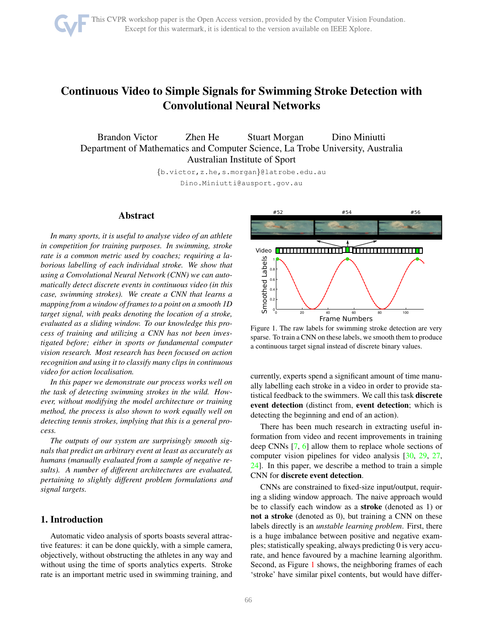

# <span id="page-0-1"></span>Continuous Video to Simple Signals for Swimming Stroke Detection with Convolutional Neural Networks

Brandon Victor Zhen He Stuart Morgan Dino Miniutti Department of Mathematics and Computer Science, La Trobe University, Australia Australian Institute of Sport

> {b.victor,z.he,s.morgan}@latrobe.edu.au Dino.Miniutti@ausport.gov.au

## Abstract

*In many sports, it is useful to analyse video of an athlete in competition for training purposes. In swimming, stroke rate is a common metric used by coaches; requiring a laborious labelling of each individual stroke. We show that using a Convolutional Neural Network (CNN) we can automatically detect discrete events in continuous video (in this case, swimming strokes). We create a CNN that learns a mapping from a window of frames to a point on a smooth 1D target signal, with peaks denoting the location of a stroke, evaluated as a sliding window. To our knowledge this process of training and utilizing a CNN has not been investigated before; either in sports or fundamental computer vision research. Most research has been focused on action recognition and using it to classify many clips in continuous video for action localisation.*

*In this paper we demonstrate our process works well on the task of detecting swimming strokes in the wild. However, without modifying the model architecture or training method, the process is also shown to work equally well on detecting tennis strokes, implying that this is a general process.*

*The outputs of our system are surprisingly smooth signals that predict an arbitrary event at least as accurately as humans (manually evaluated from a sample of negative results). A number of different architectures are evaluated, pertaining to slightly different problem formulations and signal targets.*

# 1. Introduction

Automatic video analysis of sports boasts several attractive features: it can be done quickly, with a simple camera, objectively, without obstructing the athletes in any way and without using the time of sports analytics experts. Stroke rate is an important metric used in swimming training, and



<span id="page-0-0"></span>Figure 1. The raw labels for swimming stroke detection are very sparse. To train a CNN on these labels, we smooth them to produce a continuous target signal instead of discrete binary values.

currently, experts spend a significant amount of time manually labelling each stroke in a video in order to provide statistical feedback to the swimmers. We call this task discrete event detection (distinct from, event detection; which is detecting the beginning and end of an action).

There has been much research in extracting useful information from video and recent improvements in training deep CNNs [\[7,](#page-8-0) [6\]](#page-8-1) allow them to replace whole sections of computer vision pipelines for video analysis [\[30,](#page-9-0) [29,](#page-9-1) [27,](#page-8-2) [24\]](#page-8-3). In this paper, we describe a method to train a simple CNN for discrete event detection.

CNNs are constrained to fixed-size input/output, requiring a sliding window approach. The naive approach would be to classify each window as a stroke (denoted as 1) or not a stroke (denoted as 0), but training a CNN on these labels directly is an *unstable learning problem*. First, there is a huge imbalance between positive and negative examples; statistically speaking, always predicting 0 is very accurate, and hence favoured by a machine learning algorithm. Second, as Figure [1](#page-0-0) shows, the neighboring frames of each 'stroke' have similar pixel contents, but would have differ-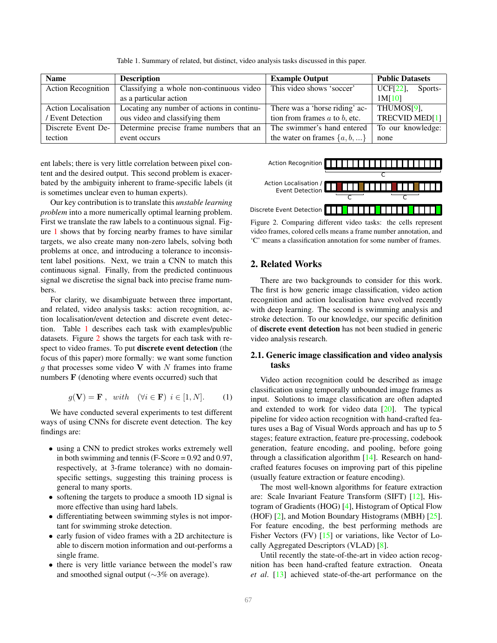<span id="page-1-0"></span>Table 1. Summary of related, but distinct, video analysis tasks discussed in this paper.

<span id="page-1-3"></span>

| <b>Name</b>                | <b>Description</b>                         | <b>Example Output</b>              | <b>Public Datasets</b> |  |
|----------------------------|--------------------------------------------|------------------------------------|------------------------|--|
| <b>Action Recognition</b>  | Classifying a whole non-continuous video   | This video shows 'soccer'          | UCF[22],<br>Sports-    |  |
|                            | as a particular action                     |                                    | 1M[10]                 |  |
| <b>Action Localisation</b> | Locating any number of actions in continu- | There was a 'horse riding' ac-     | THUMOS[9],             |  |
| / Event Detection          | ous video and classifying them             | tion from frames $a$ to $b$ , etc. | TRECVID MED[1]         |  |
| Discrete Event De-         | Determine precise frame numbers that an    | The swimmer's hand entered         | To our knowledge:      |  |
| tection                    | event occurs                               | the water on frames $\{a, b, \}$   | none                   |  |

ent labels; there is very little correlation between pixel content and the desired output. This second problem is exacerbated by the ambiguity inherent to frame-specific labels (it is sometimes unclear even to human experts).

Our key contribution is to translate this *unstable learning problem* into a more numerically optimal learning problem. First we translate the raw labels to a continuous signal. Figure [1](#page-0-0) shows that by forcing nearby frames to have similar targets, we also create many non-zero labels, solving both problems at once, and introducing a tolerance to inconsistent label positions. Next, we train a CNN to match this continuous signal. Finally, from the predicted continuous signal we discretise the signal back into precise frame numbers.

For clarity, we disambiguate between three important, and related, video analysis tasks: action recognition, action localisation/event detection and discrete event detection. Table [1](#page-1-0) describes each task with examples/public datasets. Figure [2](#page-1-1) shows the targets for each task with respect to video frames. To put discrete event detection (the focus of this paper) more formally: we want some function q that processes some video V with  $N$  frames into frame numbers F (denoting where events occurred) such that

<span id="page-1-2"></span>
$$
g(\mathbf{V}) = \mathbf{F} \ , \ with \ (\forall i \in \mathbf{F}) \ i \in [1, N]. \tag{1}
$$

We have conducted several experiments to test different ways of using CNNs for discrete event detection. The key findings are:

- using a CNN to predict strokes works extremely well in both swimming and tennis (F-Score  $= 0.92$  and 0.97, respectively, at 3-frame tolerance) with no domainspecific settings, suggesting this training process is general to many sports.
- softening the targets to produce a smooth 1D signal is more effective than using hard labels.
- differentiating between swimming styles is not important for swimming stroke detection.
- early fusion of video frames with a 2D architecture is able to discern motion information and out-performs a single frame.
- there is very little variance between the model's raw and smoothed signal output (∼3% on average).



<span id="page-1-1"></span>Figure 2. Comparing different video tasks: the cells represent video frames, colored cells means a frame number annotation, and 'C' means a classification annotation for some number of frames.

## 2. Related Works

There are two backgrounds to consider for this work. The first is how generic image classification, video action recognition and action localisation have evolved recently with deep learning. The second is swimming analysis and stroke detection. To our knowledge, our specific definition of discrete event detection has not been studied in generic video analysis research.

## 2.1. Generic image classification and video analysis tasks

Video action recognition could be described as image classification using temporally unbounded image frames as input. Solutions to image classification are often adapted and extended to work for video data [\[20\]](#page-8-8). The typical pipeline for video action recognition with hand-crafted features uses a Bag of Visual Words approach and has up to 5 stages; feature extraction, feature pre-processing, codebook generation, feature encoding, and pooling, before going through a classification algorithm [\[14\]](#page-8-9). Research on handcrafted features focuses on improving part of this pipeline (usually feature extraction or feature encoding).

The most well-known algorithms for feature extraction are: Scale Invariant Feature Transform (SIFT) [\[12\]](#page-8-10), Histogram of Gradients (HOG) [\[4\]](#page-8-11), Histogram of Optical Flow (HOF) [\[2\]](#page-8-12), and Motion Boundary Histograms (MBH) [\[25\]](#page-8-13). For feature encoding, the best performing methods are Fisher Vectors (FV) [\[15\]](#page-8-14) or variations, like Vector of Locally Aggregated Descriptors (VLAD) [\[8\]](#page-8-15).

Until recently the state-of-the-art in video action recognition has been hand-crafted feature extraction. Oneata *et al*. [\[13\]](#page-8-16) achieved state-of-the-art performance on the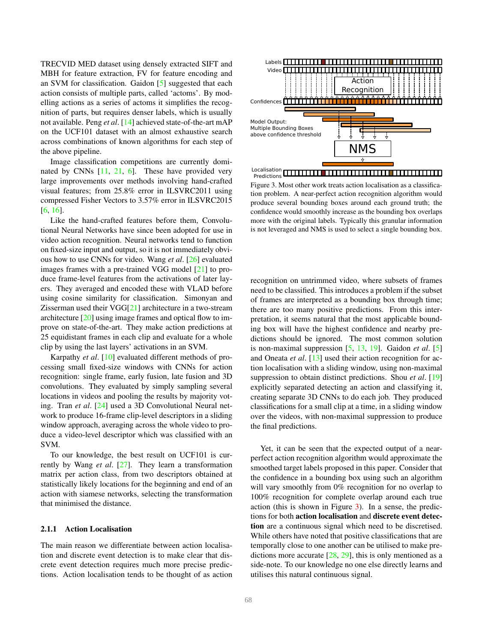<span id="page-2-1"></span>TRECVID MED dataset using densely extracted SIFT and MBH for feature extraction, FV for feature encoding and an SVM for classification. Gaidon [\[5\]](#page-8-17) suggested that each action consists of multiple parts, called 'actoms'. By modelling actions as a series of actoms it simplifies the recognition of parts, but requires denser labels, which is usually not available. Peng *et al*. [\[14\]](#page-8-9) achieved state-of-the-art mAP on the UCF101 dataset with an almost exhaustive search across combinations of known algorithms for each step of the above pipeline.

Image classification competitions are currently dominated by CNNs  $[11, 21, 6]$  $[11, 21, 6]$  $[11, 21, 6]$  $[11, 21, 6]$  $[11, 21, 6]$ . These have provided very large improvements over methods involving hand-crafted visual features; from 25.8% error in ILSVRC2011 using compressed Fisher Vectors to 3.57% error in ILSVRC2015 [\[6,](#page-8-1) [16\]](#page-8-20).

Like the hand-crafted features before them, Convolutional Neural Networks have since been adopted for use in video action recognition. Neural networks tend to function on fixed-size input and output, so it is not immediately obvious how to use CNNs for video. Wang *et al*. [\[26\]](#page-8-21) evaluated images frames with a pre-trained VGG model [\[21\]](#page-8-19) to produce frame-level features from the activations of later layers. They averaged and encoded these with VLAD before using cosine similarity for classification. Simonyan and Zisserman used their VGG[\[21\]](#page-8-19) architecture in a two-stream architecture [\[20\]](#page-8-8) using image frames and optical flow to improve on state-of-the-art. They make action predictions at 25 equidistant frames in each clip and evaluate for a whole clip by using the last layers' activations in an SVM.

Karpathy *et al*. [\[10\]](#page-8-5) evaluated different methods of processing small fixed-size windows with CNNs for action recognition: single frame, early fusion, late fusion and 3D convolutions. They evaluated by simply sampling several locations in videos and pooling the results by majority voting. Tran *et al*. [\[24\]](#page-8-3) used a 3D Convolutional Neural network to produce 16-frame clip-level descriptors in a sliding window approach, averaging across the whole video to produce a video-level descriptor which was classified with an SVM.

To our knowledge, the best result on UCF101 is currently by Wang *et al*. [\[27\]](#page-8-2). They learn a transformation matrix per action class, from two descriptors obtained at statistically likely locations for the beginning and end of an action with siamese networks, selecting the transformation that minimised the distance.

#### 2.1.1 Action Localisation

The main reason we differentiate between action localisation and discrete event detection is to make clear that discrete event detection requires much more precise predictions. Action localisation tends to be thought of as action



<span id="page-2-0"></span>Figure 3. Most other work treats action localisation as a classification problem. A near-perfect action recognition algorithm would produce several bounding boxes around each ground truth; the confidence would smoothly increase as the bounding box overlaps more with the original labels. Typically this granular information is not leveraged and NMS is used to select a single bounding box.

recognition on untrimmed video, where subsets of frames need to be classified. This introduces a problem if the subset of frames are interpreted as a bounding box through time; there are too many positive predictions. From this interpretation, it seems natural that the most applicable bounding box will have the highest confidence and nearby predictions should be ignored. The most common solution is non-maximal suppression [\[5,](#page-8-17) [13,](#page-8-16) [19\]](#page-8-22). Gaidon *et al*. [\[5\]](#page-8-17) and Oneata *et al*. [\[13\]](#page-8-16) used their action recognition for action localisation with a sliding window, using non-maximal suppression to obtain distinct predictions. Shou *et al*. [\[19\]](#page-8-22) explicitly separated detecting an action and classifying it, creating separate 3D CNNs to do each job. They produced classifications for a small clip at a time, in a sliding window over the videos, with non-maximal suppression to produce the final predictions.

Yet, it can be seen that the expected output of a nearperfect action recognition algorithm would approximate the smoothed target labels proposed in this paper. Consider that the confidence in a bounding box using such an algorithm will vary smoothly from 0% recognition for no overlap to 100% recognition for complete overlap around each true action (this is shown in Figure [3\)](#page-2-0). In a sense, the predictions for both action localisation and discrete event detection are a continuous signal which need to be discretised. While others have noted that positive classifications that are temporally close to one another can be utilised to make predictions more accurate [\[28,](#page-8-23) [29\]](#page-9-1), this is only mentioned as a side-note. To our knowledge no one else directly learns and utilises this natural continuous signal.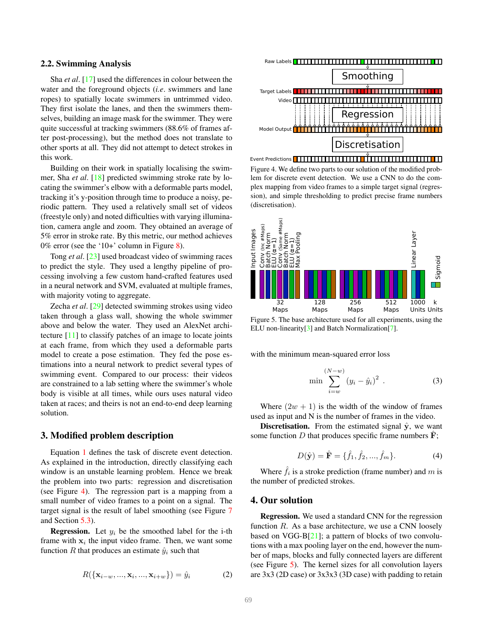#### <span id="page-3-2"></span>2.2. Swimming Analysis

Sha *et al*. [\[17\]](#page-8-24) used the differences in colour between the water and the foreground objects (*i.e*. swimmers and lane ropes) to spatially locate swimmers in untrimmed video. They first isolate the lanes, and then the swimmers themselves, building an image mask for the swimmer. They were quite successful at tracking swimmers (88.6% of frames after post-processing), but the method does not translate to other sports at all. They did not attempt to detect strokes in this work.

Building on their work in spatially localising the swimmer, Sha *et al*. [\[18\]](#page-8-25) predicted swimming stroke rate by locating the swimmer's elbow with a deformable parts model, tracking it's y-position through time to produce a noisy, periodic pattern. They used a relatively small set of videos (freestyle only) and noted difficulties with varying illumination, camera angle and zoom. They obtained an average of 5% error in stroke rate. By this metric, our method achieves 0% error (see the '10+' column in Figure [8\)](#page-6-0).

Tong *et al*. [\[23\]](#page-8-26) used broadcast video of swimming races to predict the style. They used a lengthy pipeline of processing involving a few custom hand-crafted features used in a neural network and SVM, evaluated at multiple frames, with majority voting to aggregate.

Zecha *et al*. [\[29\]](#page-9-1) detected swimming strokes using video taken through a glass wall, showing the whole swimmer above and below the water. They used an AlexNet architecture [\[11\]](#page-8-18) to classify patches of an image to locate joints at each frame, from which they used a deformable parts model to create a pose estimation. They fed the pose estimations into a neural network to predict several types of swimming event. Compared to our process: their videos are constrained to a lab setting where the swimmer's whole body is visible at all times, while ours uses natural video taken at races; and theirs is not an end-to-end deep learning solution.

#### 3. Modified problem description

Equation [1](#page-1-2) defines the task of discrete event detection. As explained in the introduction, directly classifying each window is an unstable learning problem. Hence we break the problem into two parts: regression and discretisation (see Figure [4\)](#page-3-0). The regression part is a mapping from a small number of video frames to a point on a signal. The target signal is the result of label smoothing (see Figure [7](#page-4-0) and Section [5.3\)](#page-4-1).

**Regression.** Let  $y_i$  be the smoothed label for the i-th frame with  $x_i$  the input video frame. Then, we want some function R that produces an estimate  $\hat{y}_i$  such that

$$
R(\{\mathbf{x}_{i-w}, ..., \mathbf{x}_i, ..., \mathbf{x}_{i+w}\}) = \hat{y}_i
$$
 (2)



<span id="page-3-0"></span>Figure 4. We define two parts to our solution of the modified problem for discrete event detection. We use a CNN to do the complex mapping from video frames to a simple target signal (regression), and simple thresholding to predict precise frame numbers (discretisation).



<span id="page-3-1"></span>Figure 5. The base architecture used for all experiments, using the ELU non-linearity[\[3\]](#page-8-27) and Batch Normalization[\[7\]](#page-8-0).

with the minimum mean-squared error loss

$$
\min \sum_{i=w}^{(N-w)} (y_i - \hat{y}_i)^2 . \tag{3}
$$

Where  $(2w + 1)$  is the width of the window of frames used as input and N is the number of frames in the video.

**Discretisation.** From the estimated signal  $\hat{y}$ , we want some function D that produces specific frame numbers  $\mathbf{F}$ ;

$$
D(\hat{\mathbf{y}}) = \hat{\mathbf{F}} = {\hat{f}_1, \hat{f}_2, ..., \hat{f}_m}.
$$
 (4)

Where  $\hat{f}_i$  is a stroke prediction (frame number) and m is the number of predicted strokes.

# 4. Our solution

Regression. We used a standard CNN for the regression function  $R$ . As a base architecture, we use a CNN loosely based on  $VGG-B[21]$  $VGG-B[21]$ ; a pattern of blocks of two convolutions with a max pooling layer on the end, however the number of maps, blocks and fully connected layers are different (see Figure [5\)](#page-3-1). The kernel sizes for all convolution layers are 3x3 (2D case) or 3x3x3 (3D case) with padding to retain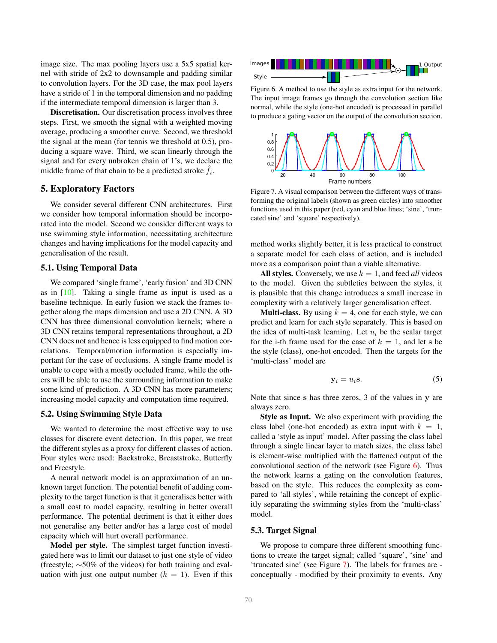<span id="page-4-5"></span>image size. The max pooling layers use a 5x5 spatial kernel with stride of 2x2 to downsample and padding similar to convolution layers. For the 3D case, the max pool layers have a stride of 1 in the temporal dimension and no padding if the intermediate temporal dimension is larger than 3.

Discretisation. Our discretisation process involves three steps. First, we smooth the signal with a weighted moving average, producing a smoother curve. Second, we threshold the signal at the mean (for tennis we threshold at 0.5), producing a square wave. Third, we scan linearly through the signal and for every unbroken chain of 1's, we declare the middle frame of that chain to be a predicted stroke  $\hat{f}_i$ .

## 5. Exploratory Factors

We consider several different CNN architectures. First we consider how temporal information should be incorporated into the model. Second we consider different ways to use swimming style information, necessitating architecture changes and having implications for the model capacity and generalisation of the result.

## <span id="page-4-3"></span>5.1. Using Temporal Data

We compared 'single frame', 'early fusion' and 3D CNN as in [\[10\]](#page-8-5). Taking a single frame as input is used as a baseline technique. In early fusion we stack the frames together along the maps dimension and use a 2D CNN. A 3D CNN has three dimensional convolution kernels; where a 3D CNN retains temporal representations throughout, a 2D CNN does not and hence is less equipped to find motion correlations. Temporal/motion information is especially important for the case of occlusions. A single frame model is unable to cope with a mostly occluded frame, while the others will be able to use the surrounding information to make some kind of prediction. A 3D CNN has more parameters; increasing model capacity and computation time required.

#### <span id="page-4-4"></span>5.2. Using Swimming Style Data

We wanted to determine the most effective way to use classes for discrete event detection. In this paper, we treat the different styles as a proxy for different classes of action. Four styles were used: Backstroke, Breaststroke, Butterfly and Freestyle.

A neural network model is an approximation of an unknown target function. The potential benefit of adding complexity to the target function is that it generalises better with a small cost to model capacity, resulting in better overall performance. The potential detriment is that it either does not generalise any better and/or has a large cost of model capacity which will hurt overall performance.

Model per style. The simplest target function investigated here was to limit our dataset to just one style of video (freestyle; ∼50% of the videos) for both training and evaluation with just one output number  $(k = 1)$ . Even if this



<span id="page-4-2"></span>Figure 6. A method to use the style as extra input for the network. The input image frames go through the convolution section like normal, while the style (one-hot encoded) is processed in parallel to produce a gating vector on the output of the convolution section.



<span id="page-4-0"></span>Figure 7. A visual comparison between the different ways of transforming the original labels (shown as green circles) into smoother functions used in this paper (red, cyan and blue lines; 'sine', 'truncated sine' and 'square' respectively).

method works slightly better, it is less practical to construct a separate model for each class of action, and is included more as a comparison point than a viable alternative.

All styles. Conversely, we use  $k = 1$ , and feed *all* videos to the model. Given the subtleties between the styles, it is plausible that this change introduces a small increase in complexity with a relatively larger generalisation effect.

**Multi-class.** By using  $k = 4$ , one for each style, we can predict and learn for each style separately. This is based on the idea of multi-task learning. Let  $u_i$  be the scalar target for the i-th frame used for the case of  $k = 1$ , and let s be the style (class), one-hot encoded. Then the targets for the 'multi-class' model are

$$
y_i = u_i s. \t\t(5)
$$

Note that since s has three zeros, 3 of the values in y are always zero.

Style as Input. We also experiment with providing the class label (one-hot encoded) as extra input with  $k = 1$ , called a 'style as input' model. After passing the class label through a single linear layer to match sizes, the class label is element-wise multiplied with the flattened output of the convolutional section of the network (see Figure  $6$ ). Thus the network learns a gating on the convolution features, based on the style. This reduces the complexity as compared to 'all styles', while retaining the concept of explicitly separating the swimming styles from the 'multi-class' model.

#### <span id="page-4-1"></span>5.3. Target Signal

We propose to compare three different smoothing functions to create the target signal; called 'square', 'sine' and 'truncated sine' (see Figure [7\)](#page-4-0). The labels for frames are conceptually - modified by their proximity to events. Any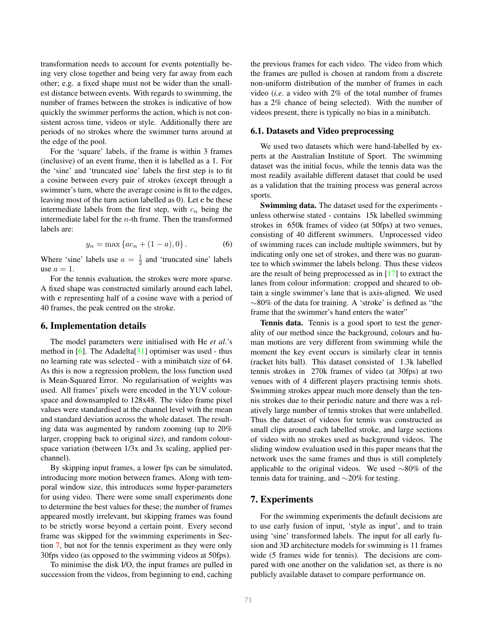<span id="page-5-2"></span>transformation needs to account for events potentially being very close together and being very far away from each other; e.g. a fixed shape must not be wider than the smallest distance between events. With regards to swimming, the number of frames between the strokes is indicative of how quickly the swimmer performs the action, which is not consistent across time, videos or style. Additionally there are periods of no strokes where the swimmer turns around at the edge of the pool.

For the 'square' labels, if the frame is within 3 frames (inclusive) of an event frame, then it is labelled as a 1. For the 'sine' and 'truncated sine' labels the first step is to fit a cosine between every pair of strokes (except through a swimmer's turn, where the average cosine is fit to the edges, leaving most of the turn action labelled as 0). Let c be these intermediate labels from the first step, with  $c_n$  being the intermediate label for the  $n$ -th frame. Then the transformed labels are:

$$
y_n = \max\{ac_n + (1 - a), 0\}.
$$
 (6)

Where 'sine' labels use  $a = \frac{1}{2}$  and 'truncated sine' labels use  $a = 1$ .

For the tennis evaluation, the strokes were more sparse. A fixed shape was constructed similarly around each label, with c representing half of a cosine wave with a period of 40 frames, the peak centred on the stroke.

## 6. Implementation details

The model parameters were initialised with He *et al*.'s method in  $[6]$ . The Adadelta $[31]$  optimiser was used - thus no learning rate was selected - with a minibatch size of 64. As this is now a regression problem, the loss function used is Mean-Squared Error. No regularisation of weights was used. All frames' pixels were encoded in the YUV colourspace and downsampled to 128x48. The video frame pixel values were standardised at the channel level with the mean and standard deviation across the whole dataset. The resulting data was augmented by random zooming (up to 20% larger, cropping back to original size), and random colourspace variation (between 1/3x and 3x scaling, applied perchannel).

By skipping input frames, a lower fps can be simulated, introducing more motion between frames. Along with temporal window size, this introduces some hyper-parameters for using video. There were some small experiments done to determine the best values for these; the number of frames appeared mostly irrelevant, but skipping frames was found to be strictly worse beyond a certain point. Every second frame was skipped for the swimming experiments in Section [7,](#page-5-0) but not for the tennis experiment as they were only 30fps video (as opposed to the swimming videos at 50fps).

To minimise the disk I/O, the input frames are pulled in succession from the videos, from beginning to end, caching the previous frames for each video. The video from which the frames are pulled is chosen at random from a discrete non-uniform distribution of the number of frames in each video (*i.e*. a video with 2% of the total number of frames has a 2% chance of being selected). With the number of videos present, there is typically no bias in a minibatch.

#### <span id="page-5-1"></span>6.1. Datasets and Video preprocessing

We used two datasets which were hand-labelled by experts at the Australian Institute of Sport. The swimming dataset was the initial focus, while the tennis data was the most readily available different dataset that could be used as a validation that the training process was general across sports.

Swimming data. The dataset used for the experiments unless otherwise stated - contains 15k labelled swimming strokes in 650k frames of video (at 50fps) at two venues, consisting of 40 different swimmers. Unprocessed video of swimming races can include multiple swimmers, but by indicating only one set of strokes, and there was no guarantee to which swimmer the labels belong. Thus these videos are the result of being preprocessed as in [\[17\]](#page-8-24) to extract the lanes from colour information: cropped and sheared to obtain a single swimmer's lane that is axis-aligned. We used ∼80% of the data for training. A 'stroke' is defined as "the frame that the swimmer's hand enters the water"

Tennis data. Tennis is a good sport to test the generality of our method since the background, colours and human motions are very different from swimming while the moment the key event occurs is similarly clear in tennis (racket hits ball). This dataset consisted of 1.3k labelled tennis strokes in 270k frames of video (at 30fps) at two venues with of 4 different players practising tennis shots. Swimming strokes appear much more densely than the tennis strokes due to their periodic nature and there was a relatively large number of tennis strokes that were unlabelled. Thus the dataset of videos for tennis was constructed as small clips around each labelled stroke, and large sections of video with no strokes used as background videos. The sliding window evaluation used in this paper means that the network uses the same frames and thus is still completely applicable to the original videos. We used ∼80% of the tennis data for training, and ∼20% for testing.

## <span id="page-5-0"></span>7. Experiments

For the swimming experiments the default decisions are to use early fusion of input, 'style as input', and to train using 'sine' transformed labels. The input for all early fusion and 3D architecture models for swimming is 11 frames wide (5 frames wide for tennis). The decisions are compared with one another on the validation set, as there is no publicly available dataset to compare performance on.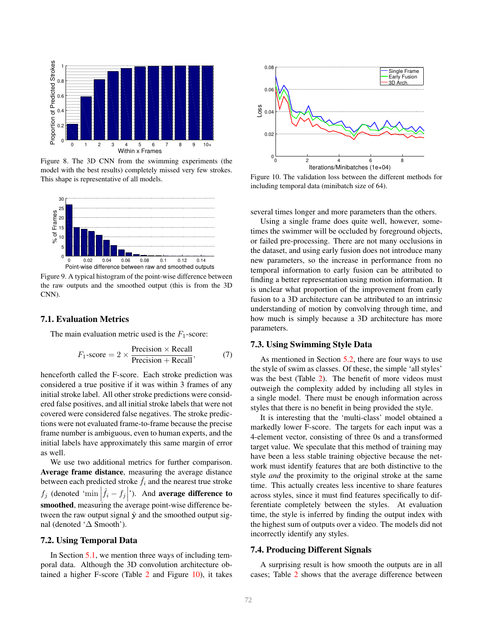

<span id="page-6-0"></span>Figure 8. The 3D CNN from the swimming experiments (the model with the best results) completely missed very few strokes. This shape is representative of all models.



<span id="page-6-2"></span>Figure 9. A typical histogram of the point-wise difference between the raw outputs and the smoothed output (this is from the 3D CNN).

#### 7.1. Evaluation Metrics

The main evaluation metric used is the  $F_1$ -score:

$$
F_1\text{-score} = 2 \times \frac{\text{Precision} \times \text{Recall}}{\text{Precision} + \text{Recall}},\tag{7}
$$

henceforth called the F-score. Each stroke prediction was considered a true positive if it was within 3 frames of any initial stroke label. All other stroke predictions were considered false positives, and all initial stroke labels that were not covered were considered false negatives. The stroke predictions were not evaluated frame-to-frame because the precise frame number is ambiguous, even to human experts, and the initial labels have approximately this same margin of error as well.

We use two additional metrics for further comparison. Average frame distance, measuring the average distance between each predicted stroke  $f_i$  and the nearest true stroke  $f_j$  (denoted 'min  $\left| \hat{f}_i - f_j \right|$ '). And **average difference to**  $\frac{1}{2}$  smoothed, measuring the average point-wise difference between the raw output signal  $\hat{y}$  and the smoothed output signal (denoted '∆ Smooth').

### 7.2. Using Temporal Data

In Section [5.1,](#page-4-3) we mention three ways of including temporal data. Although the 3D convolution architecture obtained a higher F-score (Table [2](#page-7-0) and Figure [10\)](#page-6-1), it takes



<span id="page-6-1"></span>Figure 10. The validation loss between the different methods for including temporal data (minibatch size of 64).

several times longer and more parameters than the others.

Using a single frame does quite well, however, sometimes the swimmer will be occluded by foreground objects, or failed pre-processing. There are not many occlusions in the dataset, and using early fusion does not introduce many new parameters, so the increase in performance from no temporal information to early fusion can be attributed to finding a better representation using motion information. It is unclear what proportion of the improvement from early fusion to a 3D architecture can be attributed to an intrinsic understanding of motion by convolving through time, and how much is simply because a 3D architecture has more parameters.

#### 7.3. Using Swimming Style Data

As mentioned in Section [5.2,](#page-4-4) there are four ways to use the style of swim as classes. Of these, the simple 'all styles' was the best (Table [2\)](#page-7-0). The benefit of more videos must outweigh the complexity added by including all styles in a single model. There must be enough information across styles that there is no benefit in being provided the style.

It is interesting that the 'multi-class' model obtained a markedly lower F-score. The targets for each input was a 4-element vector, consisting of three 0s and a transformed target value. We speculate that this method of training may have been a less stable training objective because the network must identify features that are both distinctive to the style *and* the proximity to the original stroke at the same time. This actually creates less incentive to share features across styles, since it must find features specifically to differentiate completely between the styles. At evaluation time, the style is inferred by finding the output index with the highest sum of outputs over a video. The models did not incorrectly identify any styles.

#### 7.4. Producing Different Signals

A surprising result is how smooth the outputs are in all cases; Table [2](#page-7-0) shows that the average difference between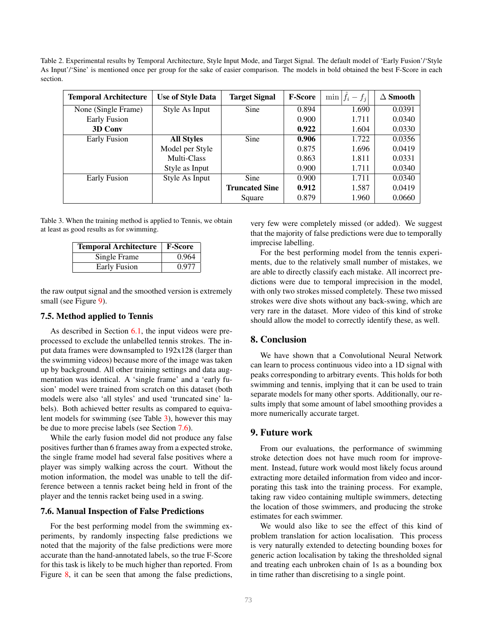<span id="page-7-0"></span>Table 2. Experimental results by Temporal Architecture, Style Input Mode, and Target Signal. The default model of 'Early Fusion'/'Style As Input'/'Sine' is mentioned once per group for the sake of easier comparison. The models in bold obtained the best F-Score in each section.

| <b>Temporal Architecture</b> | <b>Use of Style Data</b> | <b>Target Signal</b>  | <b>F-Score</b> | $\hat{f}_i - f_i$<br>min | $\Delta$ Smooth |
|------------------------------|--------------------------|-----------------------|----------------|--------------------------|-----------------|
| None (Single Frame)          | Style As Input           | Sine                  | 0.894          | 1.690                    | 0.0391          |
| Early Fusion                 |                          |                       | 0.900          | 1.711                    | 0.0340          |
| 3D Conv                      |                          |                       | 0.922          | 1.604                    | 0.0330          |
| Early Fusion                 | <b>All Styles</b>        | Sine                  | 0.906          | 1.722                    | 0.0356          |
|                              | Model per Style          |                       | 0.875          | 1.696                    | 0.0419          |
|                              | Multi-Class              |                       | 0.863          | 1.811                    | 0.0331          |
|                              | Style as Input           |                       | 0.900          | 1.711                    | 0.0340          |
| Early Fusion                 | Style As Input           | Sine                  | 0.900          | 1.711                    | 0.0340          |
|                              |                          | <b>Truncated Sine</b> | 0.912          | 1.587                    | 0.0419          |
|                              |                          | Square                | 0.879          | 1.960                    | 0.0660          |

<span id="page-7-1"></span>Table 3. When the training method is applied to Tennis, we obtain at least as good results as for swimming.

| <b>Temporal Architecture</b> | <b>F-Score</b> |  |  |
|------------------------------|----------------|--|--|
| Single Frame                 | 0.964          |  |  |
| Early Fusion                 | 0.977          |  |  |

the raw output signal and the smoothed version is extremely small (see Figure [9\)](#page-6-2).

#### 7.5. Method applied to Tennis

As described in Section [6.1,](#page-5-1) the input videos were preprocessed to exclude the unlabelled tennis strokes. The input data frames were downsampled to 192x128 (larger than the swimming videos) because more of the image was taken up by background. All other training settings and data augmentation was identical. A 'single frame' and a 'early fusion' model were trained from scratch on this dataset (both models were also 'all styles' and used 'truncated sine' labels). Both achieved better results as compared to equivalent models for swimming (see Table [3\)](#page-7-1), however this may be due to more precise labels (see Section [7.6\)](#page-7-2).

While the early fusion model did not produce any false positives further than 6 frames away from a expected stroke, the single frame model had several false positives where a player was simply walking across the court. Without the motion information, the model was unable to tell the difference between a tennis racket being held in front of the player and the tennis racket being used in a swing.

#### <span id="page-7-2"></span>7.6. Manual Inspection of False Predictions

For the best performing model from the swimming experiments, by randomly inspecting false predictions we noted that the majority of the false predictions were more accurate than the hand-annotated labels, so the true F-Score for this task is likely to be much higher than reported. From Figure [8,](#page-6-0) it can be seen that among the false predictions, very few were completely missed (or added). We suggest that the majority of false predictions were due to temporally imprecise labelling.

For the best performing model from the tennis experiments, due to the relatively small number of mistakes, we are able to directly classify each mistake. All incorrect predictions were due to temporal imprecision in the model, with only two strokes missed completely. These two missed strokes were dive shots without any back-swing, which are very rare in the dataset. More video of this kind of stroke should allow the model to correctly identify these, as well.

# 8. Conclusion

We have shown that a Convolutional Neural Network can learn to process continuous video into a 1D signal with peaks corresponding to arbitrary events. This holds for both swimming and tennis, implying that it can be used to train separate models for many other sports. Additionally, our results imply that some amount of label smoothing provides a more numerically accurate target.

## 9. Future work

From our evaluations, the performance of swimming stroke detection does not have much room for improvement. Instead, future work would most likely focus around extracting more detailed information from video and incorporating this task into the training process. For example, taking raw video containing multiple swimmers, detecting the location of those swimmers, and producing the stroke estimates for each swimmer.

We would also like to see the effect of this kind of problem translation for action localisation. This process is very naturally extended to detecting bounding boxes for generic action localisation by taking the thresholded signal and treating each unbroken chain of 1s as a bounding box in time rather than discretising to a single point.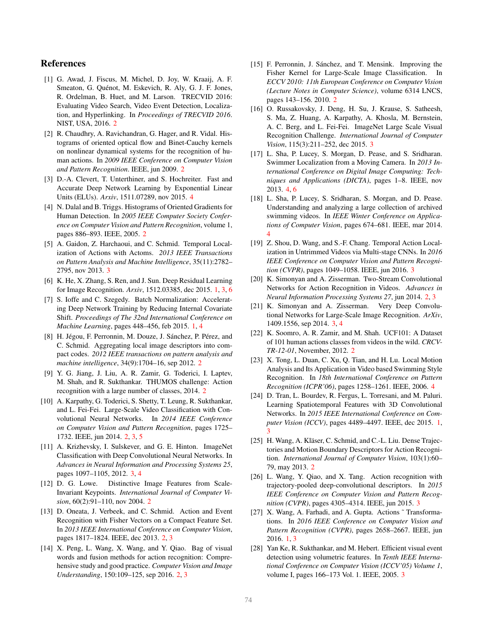## References

- <span id="page-8-7"></span>[1] G. Awad, J. Fiscus, M. Michel, D. Joy, W. Kraaij, A. F. Smeaton, G. Quénot, M. Eskevich, R. Aly, G. J. F. Jones, R. Ordelman, B. Huet, and M. Larson. TRECVID 2016: Evaluating Video Search, Video Event Detection, Localization, and Hyperlinking. In *Proceedings of TRECVID 2016*. NIST, USA, 2016. [2](#page-1-3)
- <span id="page-8-12"></span>[2] R. Chaudhry, A. Ravichandran, G. Hager, and R. Vidal. Histograms of oriented optical flow and Binet-Cauchy kernels on nonlinear dynamical systems for the recognition of human actions. In *2009 IEEE Conference on Computer Vision and Pattern Recognition*. IEEE, jun 2009. [2](#page-1-3)
- <span id="page-8-27"></span>[3] D.-A. Clevert, T. Unterthiner, and S. Hochreiter. Fast and Accurate Deep Network Learning by Exponential Linear Units (ELUs). *Arxiv*, 1511.07289, nov 2015. [4](#page-3-2)
- <span id="page-8-11"></span>[4] N. Dalal and B. Triggs. Histograms of Oriented Gradients for Human Detection. In *2005 IEEE Computer Society Conference on Computer Vision and Pattern Recognition*, volume 1, pages 886–893. IEEE, 2005. [2](#page-1-3)
- <span id="page-8-17"></span>[5] A. Gaidon, Z. Harchaoui, and C. Schmid. Temporal Localization of Actions with Actoms. *2013 IEEE Transactions on Pattern Analysis and Machine Intelligence*, 35(11):2782– 2795, nov 2013. [3](#page-2-1)
- <span id="page-8-1"></span>[6] K. He, X. Zhang, S. Ren, and J. Sun. Deep Residual Learning for Image Recognition. *Arxiv*, 1512.03385, dec 2015. [1,](#page-0-1) [3,](#page-2-1) [6](#page-5-2)
- <span id="page-8-0"></span>[7] S. Ioffe and C. Szegedy. Batch Normalization: Accelerating Deep Network Training by Reducing Internal Covariate Shift. *Proceedings of The 32nd International Conference on Machine Learning*, pages 448–456, feb 2015. [1,](#page-0-1) [4](#page-3-2)
- <span id="page-8-15"></span>[8] H. Jégou, F. Perronnin, M. Douze, J. Sánchez, P. Pérez, and C. Schmid. Aggregating local image descriptors into compact codes. *2012 IEEE transactions on pattern analysis and machine intelligence*, 34(9):1704–16, sep 2012. [2](#page-1-3)
- <span id="page-8-6"></span>[9] Y. G. Jiang, J. Liu, A. R. Zamir, G. Toderici, I. Laptev, M. Shah, and R. Sukthankar. THUMOS challenge: Action recognition with a large number of classes, 2014. [2](#page-1-3)
- <span id="page-8-5"></span>[10] A. Karpathy, G. Toderici, S. Shetty, T. Leung, R. Sukthankar, and L. Fei-Fei. Large-Scale Video Classification with Convolutional Neural Networks. In *2014 IEEE Conference on Computer Vision and Pattern Recognition*, pages 1725– 1732. IEEE, jun 2014. [2,](#page-1-3) [3,](#page-2-1) [5](#page-4-5)
- <span id="page-8-18"></span>[11] A. Krizhevsky, I. Sulskever, and G. E. Hinton. ImageNet Classification with Deep Convolutional Neural Networks. In *Advances in Neural Information and Processing Systems 25*, pages 1097–1105, 2012. [3,](#page-2-1) [4](#page-3-2)
- <span id="page-8-10"></span>[12] D. G. Lowe. Distinctive Image Features from Scale-Invariant Keypoints. *International Journal of Computer Vision*, 60(2):91–110, nov 2004. [2](#page-1-3)
- <span id="page-8-16"></span>[13] D. Oneata, J. Verbeek, and C. Schmid. Action and Event Recognition with Fisher Vectors on a Compact Feature Set. In *2013 IEEE International Conference on Computer Vision*, pages 1817–1824. IEEE, dec 2013. [2,](#page-1-3) [3](#page-2-1)
- <span id="page-8-9"></span>[14] X. Peng, L. Wang, X. Wang, and Y. Qiao. Bag of visual words and fusion methods for action recognition: Comprehensive study and good practice. *Computer Vision and Image Understanding*, 150:109–125, sep 2016. [2,](#page-1-3) [3](#page-2-1)
- <span id="page-8-14"></span>[15] F. Perronnin, J. Sánchez, and T. Mensink. Improving the Fisher Kernel for Large-Scale Image Classification. In *ECCV 2010: 11th European Conference on Computer Vision (Lecture Notes in Computer Science)*, volume 6314 LNCS, pages 143–156. 2010. [2](#page-1-3)
- <span id="page-8-20"></span>[16] O. Russakovsky, J. Deng, H. Su, J. Krause, S. Satheesh, S. Ma, Z. Huang, A. Karpathy, A. Khosla, M. Bernstein, A. C. Berg, and L. Fei-Fei. ImageNet Large Scale Visual Recognition Challenge. *International Journal of Computer Vision*, 115(3):211–252, dec 2015. [3](#page-2-1)
- <span id="page-8-24"></span>[17] L. Sha, P. Lucey, S. Morgan, D. Pease, and S. Sridharan. Swimmer Localization from a Moving Camera. In *2013 International Conference on Digital Image Computing: Techniques and Applications (DICTA)*, pages 1–8. IEEE, nov 2013. [4,](#page-3-2) [6](#page-5-2)
- <span id="page-8-25"></span>[18] L. Sha, P. Lucey, S. Sridharan, S. Morgan, and D. Pease. Understanding and analyzing a large collection of archived swimming videos. In *IEEE Winter Conference on Applications of Computer Vision*, pages 674–681. IEEE, mar 2014. [4](#page-3-2)
- <span id="page-8-22"></span>[19] Z. Shou, D. Wang, and S.-F. Chang. Temporal Action Localization in Untrimmed Videos via Multi-stage CNNs. In *2016 IEEE Conference on Computer Vision and Pattern Recognition (CVPR)*, pages 1049–1058. IEEE, jun 2016. [3](#page-2-1)
- <span id="page-8-8"></span>[20] K. Simonyan and A. Zisserman. Two-Stream Convolutional Networks for Action Recognition in Videos. *Advances in Neural Information Processing Systems 27*, jun 2014. [2,](#page-1-3) [3](#page-2-1)
- <span id="page-8-19"></span>[21] K. Simonyan and A. Zisserman. Very Deep Convolutional Networks for Large-Scale Image Recognition. *ArXiv*, 1409.1556, sep 2014. [3,](#page-2-1) [4](#page-3-2)
- <span id="page-8-4"></span>[22] K. Soomro, A. R. Zamir, and M. Shah. UCF101: A Dataset of 101 human actions classes from videos in the wild. *CRCV-TR-12-01*, November, 2012. [2](#page-1-3)
- <span id="page-8-26"></span>[23] X. Tong, L. Duan, C. Xu, Q. Tian, and H. Lu. Local Motion Analysis and Its Application in Video based Swimming Style Recognition. In *18th International Conference on Pattern Recognition (ICPR'06)*, pages 1258–1261. IEEE, 2006. [4](#page-3-2)
- <span id="page-8-3"></span>[24] D. Tran, L. Bourdev, R. Fergus, L. Torresani, and M. Paluri. Learning Spatiotemporal Features with 3D Convolutional Networks. In *2015 IEEE International Conference on Computer Vision (ICCV)*, pages 4489–4497. IEEE, dec 2015. [1,](#page-0-1) [3](#page-2-1)
- <span id="page-8-13"></span>[25] H. Wang, A. Kläser, C. Schmid, and C.-L. Liu. Dense Trajectories and Motion Boundary Descriptors for Action Recognition. *International Journal of Computer Vision*, 103(1):60– 79, may 2013. [2](#page-1-3)
- <span id="page-8-21"></span>[26] L. Wang, Y. Qiao, and X. Tang. Action recognition with trajectory-pooled deep-convolutional descriptors. In *2015 IEEE Conference on Computer Vision and Pattern Recognition (CVPR)*, pages 4305–4314. IEEE, jun 2015. [3](#page-2-1)
- <span id="page-8-2"></span>[27] X. Wang, A. Farhadi, and A. Gupta. Actions ~ Transformations. In *2016 IEEE Conference on Computer Vision and Pattern Recognition (CVPR)*, pages 2658–2667. IEEE, jun 2016. [1,](#page-0-1) [3](#page-2-1)
- <span id="page-8-23"></span>[28] Yan Ke, R. Sukthankar, and M. Hebert. Efficient visual event detection using volumetric features. In *Tenth IEEE International Conference on Computer Vision (ICCV'05) Volume 1*, volume I, pages 166–173 Vol. 1. IEEE, 2005. [3](#page-2-1)